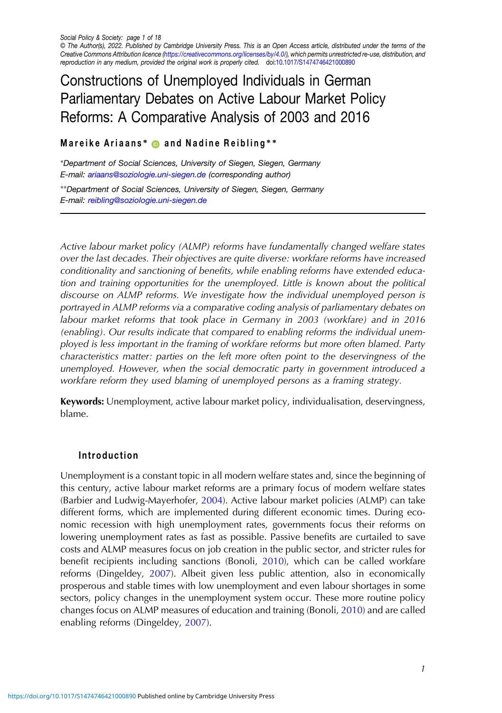# Constructions of Unemployed Individuals in German Parliamentary Debates on Active Labour Market Policy Reforms: A Comparative Analysis of 2003 and 2016

# Mareike Ariaans<sup>\*</sup> 
■ and Nadine Reibling<sup>\*</sup>\*

∗Department of Social Sciences, University of Siegen, Siegen, Germany E-mail: [ariaans@soziologie.uni-siegen.de](mailto:ariaans@soziologie.uni-siegen.de) (corresponding author)

∗∗Department of Social Sciences, University of Siegen, Siegen, Germany E-mail: [reibling@soziologie.uni-siegen.de](mailto:reibling@soziologie.uni-siegen.de)

Active labour market policy (ALMP) reforms have fundamentally changed welfare states over the last decades. Their objectives are quite diverse: workfare reforms have increased conditionality and sanctioning of benefits, while enabling reforms have extended education and training opportunities for the unemployed. Little is known about the political discourse on ALMP reforms. We investigate how the individual unemployed person is portrayed in ALMP reforms via a comparative coding analysis of parliamentary debates on labour market reforms that took place in Germany in 2003 (workfare) and in 2016 (enabling). Our results indicate that compared to enabling reforms the individual unemployed is less important in the framing of workfare reforms but more often blamed. Party characteristics matter: parties on the left more often point to the deservingness of the unemployed. However, when the social democratic party in government introduced a workfare reform they used blaming of unemployed persons as a framing strategy.

Keywords: Unemployment, active labour market policy, individualisation, deservingness, blame.

# Introduction

Unemployment is a constant topic in all modern welfare states and, since the beginning of this century, active labour market reforms are a primary focus of modern welfare states (Barbier and Ludwig-Mayerhofer, [2004\)](#page-14-0). Active labour market policies (ALMP) can take different forms, which are implemented during different economic times. During economic recession with high unemployment rates, governments focus their reforms on lowering unemployment rates as fast as possible. Passive benefits are curtailed to save costs and ALMP measures focus on job creation in the public sector, and stricter rules for benefit recipients including sanctions (Bonoli, [2010\)](#page-14-0), which can be called workfare reforms (Dingeldey, [2007\)](#page-15-0). Albeit given less public attention, also in economically prosperous and stable times with low unemployment and even labour shortages in some sectors, policy changes in the unemployment system occur. These more routine policy changes focus on ALMP measures of education and training (Bonoli, [2010](#page-14-0)) and are called enabling reforms (Dingeldey, [2007\)](#page-15-0).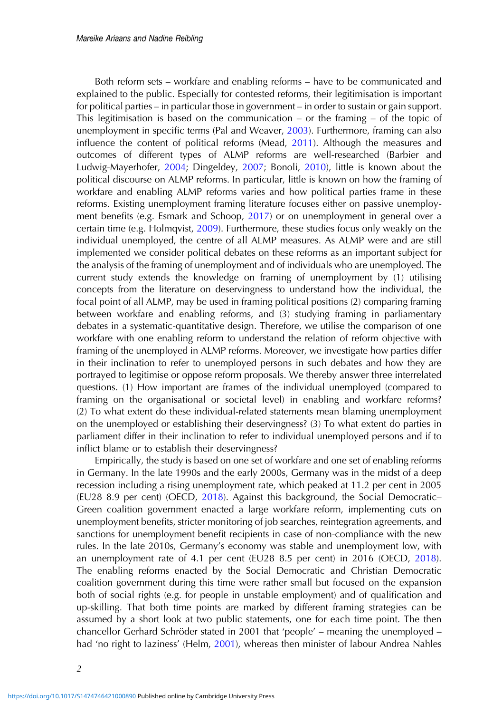Both reform sets – workfare and enabling reforms – have to be communicated and explained to the public. Especially for contested reforms, their legitimisation is important for political parties – in particular those in government – in order to sustain or gain support. This legitimisation is based on the communication – or the framing – of the topic of unemployment in specific terms (Pal and Weaver, [2003](#page-16-0)). Furthermore, framing can also influence the content of political reforms (Mead, [2011\)](#page-16-0). Although the measures and outcomes of different types of ALMP reforms are well-researched (Barbier and Ludwig-Mayerhofer, [2004;](#page-14-0) Dingeldey, [2007](#page-15-0); Bonoli, [2010](#page-14-0)), little is known about the political discourse on ALMP reforms. In particular, little is known on how the framing of workfare and enabling ALMP reforms varies and how political parties frame in these reforms. Existing unemployment framing literature focuses either on passive unemployment benefits (e.g. Esmark and Schoop, [2017\)](#page-15-0) or on unemployment in general over a certain time (e.g. Holmqvist, [2009](#page-15-0)). Furthermore, these studies focus only weakly on the individual unemployed, the centre of all ALMP measures. As ALMP were and are still implemented we consider political debates on these reforms as an important subject for the analysis of the framing of unemployment and of individuals who are unemployed. The current study extends the knowledge on framing of unemployment by (1) utilising concepts from the literature on deservingness to understand how the individual, the focal point of all ALMP, may be used in framing political positions (2) comparing framing between workfare and enabling reforms, and (3) studying framing in parliamentary debates in a systematic-quantitative design. Therefore, we utilise the comparison of one workfare with one enabling reform to understand the relation of reform objective with framing of the unemployed in ALMP reforms. Moreover, we investigate how parties differ in their inclination to refer to unemployed persons in such debates and how they are portrayed to legitimise or oppose reform proposals. We thereby answer three interrelated questions. (1) How important are frames of the individual unemployed (compared to framing on the organisational or societal level) in enabling and workfare reforms? (2) To what extent do these individual-related statements mean blaming unemployment on the unemployed or establishing their deservingness? (3) To what extent do parties in parliament differ in their inclination to refer to individual unemployed persons and if to inflict blame or to establish their deservingness?

Empirically, the study is based on one set of workfare and one set of enabling reforms in Germany. In the late 1990s and the early 2000s, Germany was in the midst of a deep recession including a rising unemployment rate, which peaked at 11.2 per cent in 2005 (EU28 8.9 per cent) (OECD, [2018](#page-16-0)). Against this background, the Social Democratic– Green coalition government enacted a large workfare reform, implementing cuts on unemployment benefits, stricter monitoring of job searches, reintegration agreements, and sanctions for unemployment benefit recipients in case of non-compliance with the new rules. In the late 2010s, Germany's economy was stable and unemployment low, with an unemployment rate of 4.1 per cent (EU28 8.5 per cent) in 2016 (OECD, [2018\)](#page-16-0). The enabling reforms enacted by the Social Democratic and Christian Democratic coalition government during this time were rather small but focused on the expansion both of social rights (e.g. for people in unstable employment) and of qualification and up-skilling. That both time points are marked by different framing strategies can be assumed by a short look at two public statements, one for each time point. The then chancellor Gerhard Schröder stated in 2001 that 'people' – meaning the unemployed – had 'no right to laziness' (Helm, [2001](#page-15-0)), whereas then minister of labour Andrea Nahles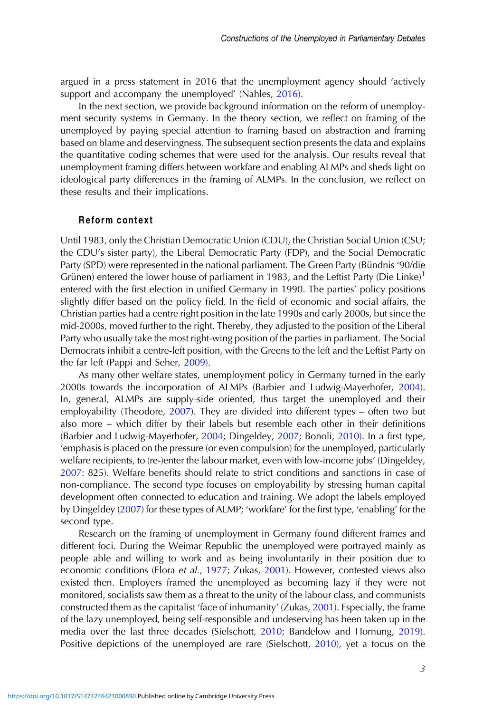argued in a press statement in 2016 that the unemployment agency should 'actively support and accompany the unemployed' (Nahles, [2016\)](#page-16-0).

In the next section, we provide background information on the reform of unemployment security systems in Germany. In the theory section, we reflect on framing of the unemployed by paying special attention to framing based on abstraction and framing based on blame and deservingness. The subsequent section presents the data and explains the quantitative coding schemes that were used for the analysis. Our results reveal that unemployment framing differs between workfare and enabling ALMPs and sheds light on ideological party differences in the framing of ALMPs. In the conclusion, we reflect on these results and their implications.

## Reform context

Until 1983, only the Christian Democratic Union (CDU), the Christian Social Union (CSU; the CDU's sister party), the Liberal Democratic Party (FDP), and the Social Democratic Party (SPD) were represented in the national parliament. The Green Party (Bündnis '90/die Grünen) entered the lower house of parliament in [1](#page-14-0)983, and the Leftist Party (Die Linke)<sup>1</sup> entered with the first election in unified Germany in 1990. The parties' policy positions slightly differ based on the policy field. In the field of economic and social affairs, the Christian parties had a centre right position in the late 1990s and early 2000s, but since the mid-2000s, moved further to the right. Thereby, they adjusted to the position of the Liberal Party who usually take the most right-wing position of the parties in parliament. The Social Democrats inhibit a centre-left position, with the Greens to the left and the Leftist Party on the far left (Pappi and Seher, [2009\)](#page-16-0).

As many other welfare states, unemployment policy in Germany turned in the early 2000s towards the incorporation of ALMPs (Barbier and Ludwig-Mayerhofer, [2004\)](#page-14-0). In, general, ALMPs are supply-side oriented, thus target the unemployed and their employability (Theodore, [2007\)](#page-16-0). They are divided into different types – often two but also more – which differ by their labels but resemble each other in their definitions (Barbier and Ludwig-Mayerhofer, [2004](#page-14-0); Dingeldey, [2007;](#page-15-0) Bonoli, [2010](#page-14-0)). In a first type, 'emphasis is placed on the pressure (or even compulsion) for the unemployed, particularly welfare recipients, to (re-)enter the labour market, even with low-income jobs' (Dingeldey, [2007](#page-15-0): 825). Welfare benefits should relate to strict conditions and sanctions in case of non-compliance. The second type focuses on employability by stressing human capital development often connected to education and training. We adopt the labels employed by Dingeldey ([2007\)](#page-15-0) for these types of ALMP; 'workfare' for the first type, 'enabling' for the second type.

Research on the framing of unemployment in Germany found different frames and different foci. During the Weimar Republic the unemployed were portrayed mainly as people able and willing to work and as being involuntarily in their position due to economic conditions (Flora et al., [1977](#page-15-0); Zukas, [2001\)](#page-17-0). However, contested views also existed then. Employers framed the unemployed as becoming lazy if they were not monitored, socialists saw them as a threat to the unity of the labour class, and communists constructed them as the capitalist 'face of inhumanity' (Zukas, [2001](#page-17-0)). Especially, the frame of the lazy unemployed, being self-responsible and undeserving has been taken up in the media over the last three decades (Sielschott, [2010](#page-16-0); Bandelow and Hornung, [2019\)](#page-14-0). Positive depictions of the unemployed are rare (Sielschott, [2010\)](#page-16-0), yet a focus on the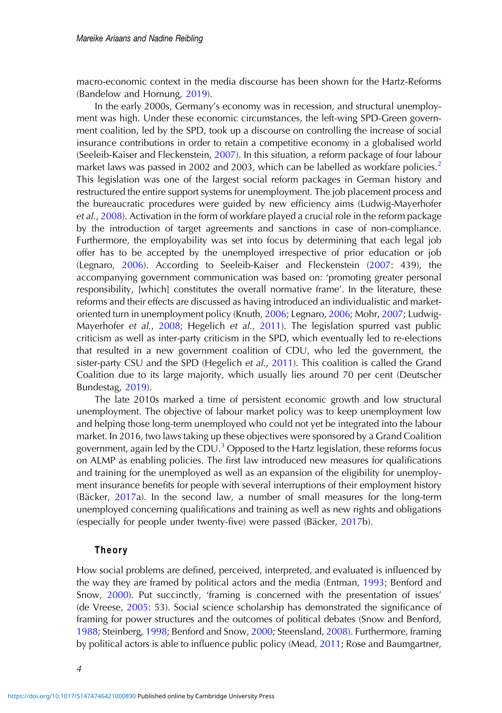macro-economic context in the media discourse has been shown for the Hartz-Reforms (Bandelow and Hornung, [2019\)](#page-14-0).

In the early 2000s, Germany's economy was in recession, and structural unemployment was high. Under these economic circumstances, the left-wing SPD-Green government coalition, led by the SPD, took up a discourse on controlling the increase of social insurance contributions in order to retain a competitive economy in a globalised world (Seeleib-Kaiser and Fleckenstein, [2007\)](#page-16-0). In this situation, a reform package of four labour market laws was passed in [2](#page-14-0)002 and 2003, which can be labelled as workfare policies.<sup>2</sup> This legislation was one of the largest social reform packages in German history and restructured the entire support systems for unemployment. The job placement process and the bureaucratic procedures were guided by new efficiency aims (Ludwig-Mayerhofer et al., [2008](#page-16-0)). Activation in the form of workfare played a crucial role in the reform package by the introduction of target agreements and sanctions in case of non-compliance. Furthermore, the employability was set into focus by determining that each legal job offer has to be accepted by the unemployed irrespective of prior education or job (Legnaro, [2006\)](#page-15-0). According to Seeleib-Kaiser and Fleckenstein ([2007:](#page-16-0) 439), the accompanying government communication was based on: 'promoting greater personal responsibility, [which] constitutes the overall normative frame'. In the literature, these reforms and their effects are discussed as having introduced an individualistic and marketoriented turn in unemployment policy (Knuth, [2006](#page-15-0); Legnaro, [2006](#page-15-0); Mohr, [2007](#page-16-0); Ludwig-Mayerhofer et al., [2008](#page-16-0); Hegelich et al., [2011](#page-15-0)). The legislation spurred vast public criticism as well as inter-party criticism in the SPD, which eventually led to re-elections that resulted in a new government coalition of CDU, who led the government, the sister-party CSU and the SPD (Hegelich et al., [2011](#page-15-0)). This coalition is called the Grand Coalition due to its large majority, which usually lies around 70 per cent (Deutscher Bundestag, [2019](#page-14-0)).

The late 2010s marked a time of persistent economic growth and low structural unemployment. The objective of labour market policy was to keep unemployment low and helping those long-term unemployed who could not yet be integrated into the labour market. In 2016, two laws taking up these objectives were sponsored by a Grand Coalition government, again led by the CDU.<sup>[3](#page-14-0)</sup> Opposed to the Hartz legislation, these reforms focus on ALMP as enabling policies. The first law introduced new measures for qualifications and training for the unemployed as well as an expansion of the eligibility for unemployment insurance benefits for people with several interruptions of their employment history (Bäcker, [2017](#page-14-0)a). In the second law, a number of small measures for the long-term unemployed concerning qualifications and training as well as new rights and obligations (especially for people under twenty-five) were passed (Bäcker, [2017](#page-14-0)b).

## Theory

How social problems are defined, perceived, interpreted, and evaluated is influenced by the way they are framed by political actors and the media (Entman, [1993;](#page-15-0) Benford and Snow, [2000](#page-14-0)). Put succinctly, 'framing is concerned with the presentation of issues' (de Vreese, [2005:](#page-15-0) 53). Social science scholarship has demonstrated the significance of framing for power structures and the outcomes of political debates (Snow and Benford, [1988](#page-16-0); Steinberg, [1998](#page-16-0); Benford and Snow, [2000;](#page-14-0) Steensland, [2008\)](#page-16-0). Furthermore, framing by political actors is able to influence public policy (Mead, [2011](#page-16-0); Rose and Baumgartner,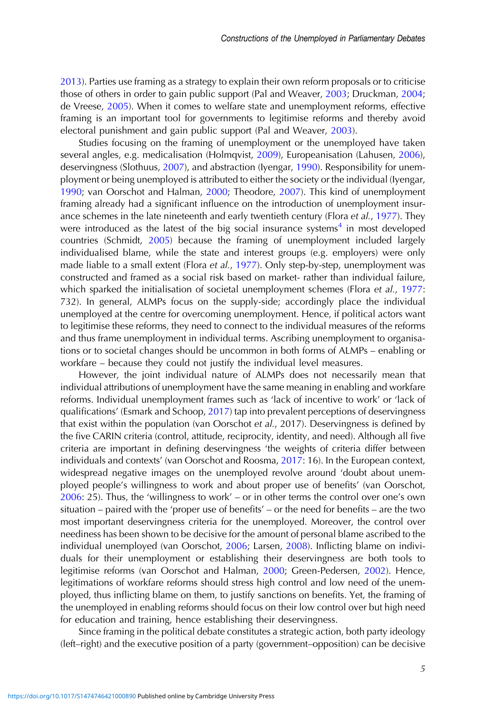[2013](#page-16-0)). Parties use framing as a strategy to explain their own reform proposals or to criticise those of others in order to gain public support (Pal and Weaver, [2003;](#page-16-0) Druckman, [2004](#page-15-0); de Vreese, [2005](#page-15-0)). When it comes to welfare state and unemployment reforms, effective framing is an important tool for governments to legitimise reforms and thereby avoid electoral punishment and gain public support (Pal and Weaver, [2003](#page-16-0)).

Studies focusing on the framing of unemployment or the unemployed have taken several angles, e.g. medicalisation (Holmqvist, [2009](#page-15-0)), Europeanisation (Lahusen, [2006\)](#page-15-0), deservingness (Slothuus, [2007](#page-16-0)), and abstraction (Iyengar, [1990\)](#page-15-0). Responsibility for unemployment or being unemployed is attributed to either the society or the individual (Iyengar, [1990](#page-15-0); van Oorschot and Halman, [2000;](#page-17-0) Theodore, [2007](#page-16-0)). This kind of unemployment framing already had a significant influence on the introduction of unemployment insur-ance schemes in the late nineteenth and early twentieth century (Flora et al., [1977](#page-15-0)). They were introduced as the latest of the big social insurance systems<sup>[4](#page-14-0)</sup> in most developed countries (Schmidt, [2005\)](#page-16-0) because the framing of unemployment included largely individualised blame, while the state and interest groups (e.g. employers) were only made liable to a small extent (Flora et al., [1977\)](#page-15-0). Only step-by-step, unemployment was constructed and framed as a social risk based on market- rather than individual failure, which sparked the initialisation of societal unemployment schemes (Flora et al., [1977](#page-15-0): 732). In general, ALMPs focus on the supply-side; accordingly place the individual unemployed at the centre for overcoming unemployment. Hence, if political actors want to legitimise these reforms, they need to connect to the individual measures of the reforms and thus frame unemployment in individual terms. Ascribing unemployment to organisations or to societal changes should be uncommon in both forms of ALMPs – enabling or workfare – because they could not justify the individual level measures.

However, the joint individual nature of ALMPs does not necessarily mean that individual attributions of unemployment have the same meaning in enabling and workfare reforms. Individual unemployment frames such as 'lack of incentive to work' or 'lack of qualifications' (Esmark and Schoop, [2017\)](#page-15-0) tap into prevalent perceptions of deservingness that exist within the population (van Oorschot et al., 2017). Deservingness is defined by the five CARIN criteria (control, attitude, reciprocity, identity, and need). Although all five criteria are important in defining deservingness 'the weights of criteria differ between individuals and contexts' (van Oorschot and Roosma, [2017](#page-17-0): 16). In the European context, widespread negative images on the unemployed revolve around 'doubt about unemployed people's willingness to work and about proper use of benefits' (van Oorschot, [2006](#page-17-0): 25). Thus, the 'willingness to work' – or in other terms the control over one's own situation – paired with the 'proper use of benefits' – or the need for benefits – are the two most important deservingness criteria for the unemployed. Moreover, the control over neediness has been shown to be decisive for the amount of personal blame ascribed to the individual unemployed (van Oorschot, [2006](#page-17-0); Larsen, [2008](#page-15-0)). Inflicting blame on individuals for their unemployment or establishing their deservingness are both tools to legitimise reforms (van Oorschot and Halman, [2000;](#page-17-0) Green-Pedersen, [2002](#page-15-0)). Hence, legitimations of workfare reforms should stress high control and low need of the unemployed, thus inflicting blame on them, to justify sanctions on benefits. Yet, the framing of the unemployed in enabling reforms should focus on their low control over but high need for education and training, hence establishing their deservingness.

Since framing in the political debate constitutes a strategic action, both party ideology (left–right) and the executive position of a party (government–opposition) can be decisive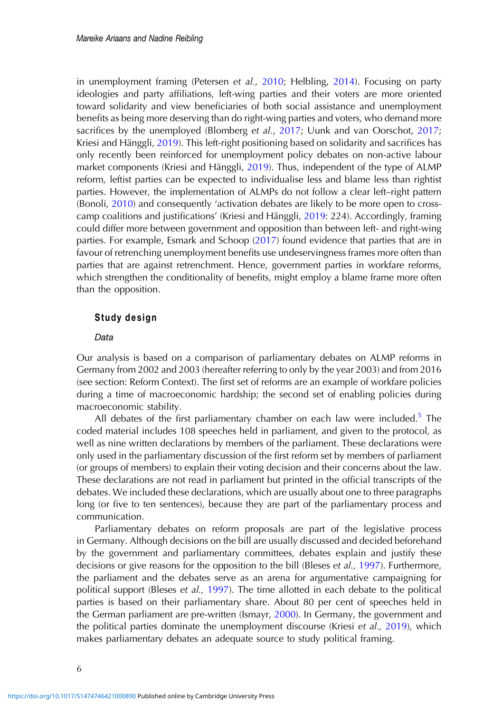in unemployment framing (Petersen et al., [2010;](#page-16-0) Helbling, [2014\)](#page-15-0). Focusing on party ideologies and party affiliations, left-wing parties and their voters are more oriented toward solidarity and view beneficiaries of both social assistance and unemployment benefits as being more deserving than do right-wing parties and voters, who demand more sacrifices by the unemployed (Blomberg et al., [2017;](#page-14-0) Uunk and van Oorschot, [2017](#page-16-0); Kriesi and Hänggli, [2019](#page-15-0)). This left-right positioning based on solidarity and sacrifices has only recently been reinforced for unemployment policy debates on non-active labour market components (Kriesi and Hänggli, [2019\)](#page-15-0). Thus, independent of the type of ALMP reform, leftist parties can be expected to individualise less and blame less than rightist parties. However, the implementation of ALMPs do not follow a clear left–right pattern (Bonoli, [2010\)](#page-14-0) and consequently 'activation debates are likely to be more open to crosscamp coalitions and justifications' (Kriesi and Hänggli, [2019:](#page-15-0) 224). Accordingly, framing could differ more between government and opposition than between left- and right-wing parties. For example, Esmark and Schoop ([2017\)](#page-15-0) found evidence that parties that are in favour of retrenching unemployment benefits use undeservingness frames more often than parties that are against retrenchment. Hence, government parties in workfare reforms, which strengthen the conditionality of benefits, might employ a blame frame more often than the opposition.

## Study design

## **Data**

Our analysis is based on a comparison of parliamentary debates on ALMP reforms in Germany from 2002 and 2003 (hereafter referring to only by the year 2003) and from 2016 (see section: Reform Context). The first set of reforms are an example of workfare policies during a time of macroeconomic hardship; the second set of enabling policies during macroeconomic stability.

All debates of the first parliamentary chamber on each law were included.<sup>[5](#page-14-0)</sup> The coded material includes 108 speeches held in parliament, and given to the protocol, as well as nine written declarations by members of the parliament. These declarations were only used in the parliamentary discussion of the first reform set by members of parliament (or groups of members) to explain their voting decision and their concerns about the law. These declarations are not read in parliament but printed in the official transcripts of the debates. We included these declarations, which are usually about one to three paragraphs long (or five to ten sentences), because they are part of the parliamentary process and communication.

Parliamentary debates on reform proposals are part of the legislative process in Germany. Although decisions on the bill are usually discussed and decided beforehand by the government and parliamentary committees, debates explain and justify these decisions or give reasons for the opposition to the bill (Bleses et al., [1997\)](#page-14-0). Furthermore, the parliament and the debates serve as an arena for argumentative campaigning for political support (Bleses et al., [1997\)](#page-14-0). The time allotted in each debate to the political parties is based on their parliamentary share. About 80 per cent of speeches held in the German parliament are pre-written (Ismayr, [2000\)](#page-15-0). In Germany, the government and the political parties dominate the unemployment discourse (Kriesi et al., [2019\)](#page-15-0), which makes parliamentary debates an adequate source to study political framing.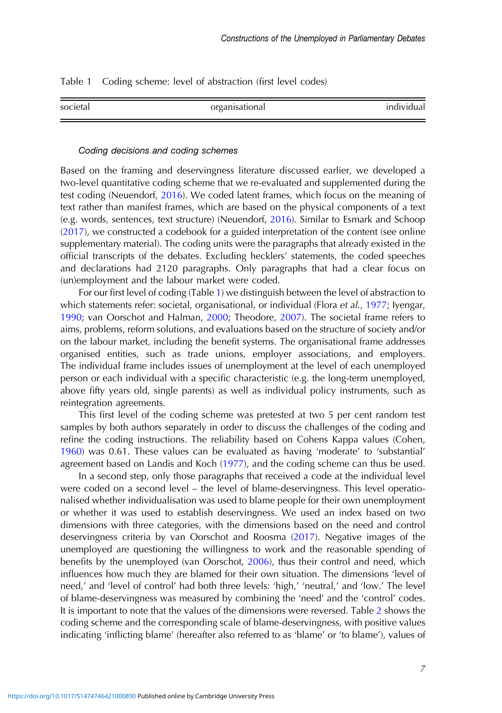Table 1 Coding scheme: level of abstraction (first level codes)

| societal | organisational | individual |
|----------|----------------|------------|
|          |                |            |

#### Coding decisions and coding schemes

Based on the framing and deservingness literature discussed earlier, we developed a two-level quantitative coding scheme that we re-evaluated and supplemented during the test coding (Neuendorf, [2016](#page-16-0)). We coded latent frames, which focus on the meaning of text rather than manifest frames, which are based on the physical components of a text (e.g. words, sentences, text structure) (Neuendorf, [2016\)](#page-16-0). Similar to Esmark and Schoop ([2017\)](#page-15-0), we constructed a codebook for a guided interpretation of the content (see online supplementary material). The coding units were the paragraphs that already existed in the official transcripts of the debates. Excluding hecklers' statements, the coded speeches and declarations had 2120 paragraphs. Only paragraphs that had a clear focus on (un)employment and the labour market were coded.

For our first level of coding (Table 1) we distinguish between the level of abstraction to which statements refer: societal, organisational, or individual (Flora et al., [1977](#page-15-0); Iyengar, [1990](#page-15-0); van Oorschot and Halman, [2000](#page-17-0); Theodore, [2007](#page-16-0)). The societal frame refers to aims, problems, reform solutions, and evaluations based on the structure of society and/or on the labour market, including the benefit systems. The organisational frame addresses organised entities, such as trade unions, employer associations, and employers. The individual frame includes issues of unemployment at the level of each unemployed person or each individual with a specific characteristic (e.g. the long-term unemployed, above fifty years old, single parents) as well as individual policy instruments, such as reintegration agreements.

This first level of the coding scheme was pretested at two 5 per cent random test samples by both authors separately in order to discuss the challenges of the coding and refine the coding instructions. The reliability based on Cohens Kappa values (Cohen, [1960](#page-14-0)) was 0.61. These values can be evaluated as having 'moderate' to 'substantial' agreement based on Landis and Koch ([1977\)](#page-15-0), and the coding scheme can thus be used.

In a second step, only those paragraphs that received a code at the individual level were coded on a second level – the level of blame-deservingness. This level operationalised whether individualisation was used to blame people for their own unemployment or whether it was used to establish deservingness. We used an index based on two dimensions with three categories, with the dimensions based on the need and control deservingness criteria by van Oorschot and Roosma ([2017](#page-17-0)). Negative images of the unemployed are questioning the willingness to work and the reasonable spending of benefits by the unemployed (van Oorschot, [2006\)](#page-17-0), thus their control and need, which influences how much they are blamed for their own situation. The dimensions 'level of need,' and 'level of control' had both three levels: 'high,' 'neutral,' and 'low.' The level of blame-deservingness was measured by combining the 'need' and the 'control' codes. It is important to note that the values of the dimensions were reversed. Table [2](#page-7-0) shows the coding scheme and the corresponding scale of blame-deservingness, with positive values indicating 'inflicting blame' (hereafter also referred to as 'blame' or 'to blame'), values of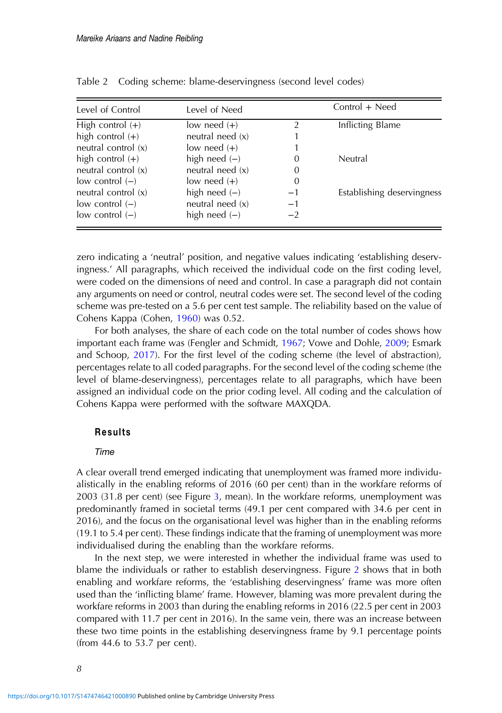| Level of Control      | Level of Need      |                | Control + Need             |
|-----------------------|--------------------|----------------|----------------------------|
| High control $(+)$    | low need $(+)$     | $\overline{2}$ | Inflicting Blame           |
| high control $(+)$    | neutral need $(x)$ |                |                            |
| neutral control (x)   | low need $(+)$     |                |                            |
| high control $(+)$    | high need $(-)$    | $\theta$       | Neutral                    |
| neutral control (x)   | neutral need $(x)$ | 0              |                            |
| $low$ control $(-)$   | low need $(+)$     | 0              |                            |
| neutral control $(x)$ | high need $(-)$    | $-1$           | Establishing deservingness |
| $low$ control $(-)$   | neutral need $(x)$ | $-1$           |                            |
| $low$ control $(-)$   | high need $(-)$    | $-2$           |                            |

<span id="page-7-0"></span>Table 2 Coding scheme: blame-deservingness (second level codes)

zero indicating a 'neutral' position, and negative values indicating 'establishing deservingness.' All paragraphs, which received the individual code on the first coding level, were coded on the dimensions of need and control. In case a paragraph did not contain any arguments on need or control, neutral codes were set. The second level of the coding scheme was pre-tested on a 5.6 per cent test sample. The reliability based on the value of Cohens Kappa (Cohen, [1960\)](#page-14-0) was 0.52.

For both analyses, the share of each code on the total number of codes shows how important each frame was (Fengler and Schmidt, [1967;](#page-15-0) Vowe and Dohle, [2009;](#page-17-0) Esmark and Schoop, [2017](#page-15-0)). For the first level of the coding scheme (the level of abstraction), percentages relate to all coded paragraphs. For the second level of the coding scheme (the level of blame-deservingness), percentages relate to all paragraphs, which have been assigned an individual code on the prior coding level. All coding and the calculation of Cohens Kappa were performed with the software MAXQDA.

# Results

#### Time

A clear overall trend emerged indicating that unemployment was framed more individualistically in the enabling reforms of 2016 (60 per cent) than in the workfare reforms of 2003 (31.8 per cent) (see Figure [3](#page-9-0), mean). In the workfare reforms, unemployment was predominantly framed in societal terms (49.1 per cent compared with 34.6 per cent in 2016), and the focus on the organisational level was higher than in the enabling reforms (19.1 to 5.4 per cent). These findings indicate that the framing of unemployment was more individualised during the enabling than the workfare reforms.

In the next step, we were interested in whether the individual frame was used to blame the individuals or rather to establish deservingness. Figure [2](#page-8-0) shows that in both enabling and workfare reforms, the 'establishing deservingness' frame was more often used than the 'inflicting blame' frame. However, blaming was more prevalent during the workfare reforms in 2003 than during the enabling reforms in 2016 (22.5 per cent in 2003 compared with 11.7 per cent in 2016). In the same vein, there was an increase between these two time points in the establishing deservingness frame by 9.1 percentage points (from 44.6 to 53.7 per cent).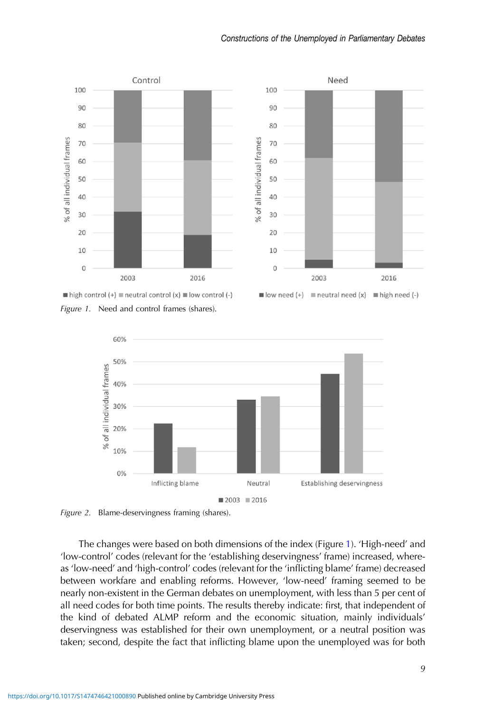<span id="page-8-0"></span>

Figure 1. Need and control frames (shares).



Figure 2. Blame-deservingness framing (shares).

The changes were based on both dimensions of the index (Figure 1). 'High-need' and 'low-control' codes (relevant for the 'establishing deservingness' frame) increased, whereas 'low-need' and 'high-control' codes (relevant for the 'inflicting blame' frame) decreased between workfare and enabling reforms. However, 'low-need' framing seemed to be nearly non-existent in the German debates on unemployment, with less than 5 per cent of all need codes for both time points. The results thereby indicate: first, that independent of the kind of debated ALMP reform and the economic situation, mainly individuals' deservingness was established for their own unemployment, or a neutral position was taken; second, despite the fact that inflicting blame upon the unemployed was for both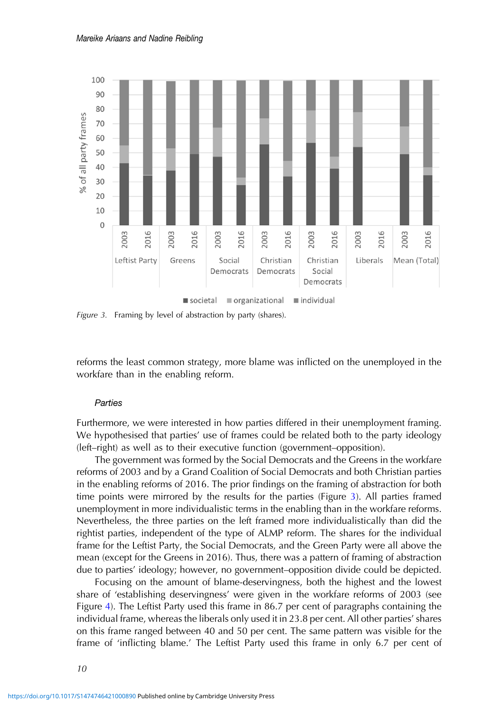<span id="page-9-0"></span>

Figure 3. Framing by level of abstraction by party (shares).

reforms the least common strategy, more blame was inflicted on the unemployed in the workfare than in the enabling reform.

#### **Parties**

Furthermore, we were interested in how parties differed in their unemployment framing. We hypothesised that parties' use of frames could be related both to the party ideology (left–right) as well as to their executive function (government–opposition).

The government was formed by the Social Democrats and the Greens in the workfare reforms of 2003 and by a Grand Coalition of Social Democrats and both Christian parties in the enabling reforms of 2016. The prior findings on the framing of abstraction for both time points were mirrored by the results for the parties (Figure 3). All parties framed unemployment in more individualistic terms in the enabling than in the workfare reforms. Nevertheless, the three parties on the left framed more individualistically than did the rightist parties, independent of the type of ALMP reform. The shares for the individual frame for the Leftist Party, the Social Democrats, and the Green Party were all above the mean (except for the Greens in 2016). Thus, there was a pattern of framing of abstraction due to parties' ideology; however, no government–opposition divide could be depicted.

Focusing on the amount of blame-deservingness, both the highest and the lowest share of 'establishing deservingness' were given in the workfare reforms of 2003 (see Figure [4\)](#page-10-0). The Leftist Party used this frame in 86.7 per cent of paragraphs containing the individual frame, whereas the liberals only used it in 23.8 per cent. All other parties' shares on this frame ranged between 40 and 50 per cent. The same pattern was visible for the frame of 'inflicting blame.' The Leftist Party used this frame in only 6.7 per cent of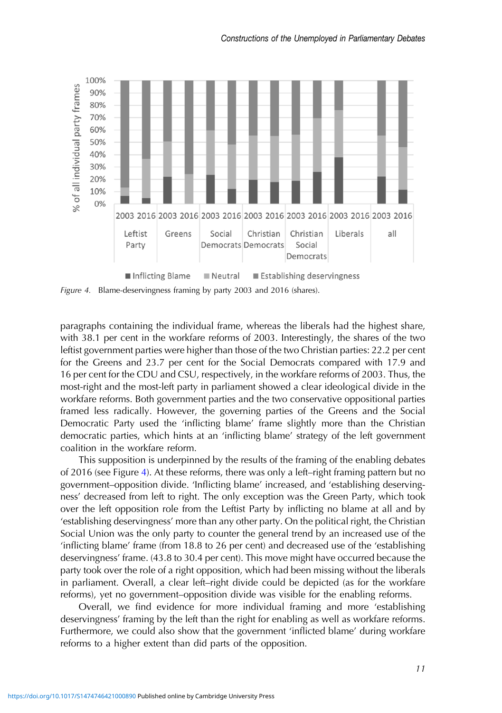<span id="page-10-0"></span>

Figure 4. Blame-deservingness framing by party 2003 and 2016 (shares).

paragraphs containing the individual frame, whereas the liberals had the highest share, with 38.1 per cent in the workfare reforms of 2003. Interestingly, the shares of the two leftist government parties were higher than those of the two Christian parties: 22.2 per cent for the Greens and 23.7 per cent for the Social Democrats compared with 17.9 and 16 per cent for the CDU and CSU, respectively, in the workfare reforms of 2003. Thus, the most-right and the most-left party in parliament showed a clear ideological divide in the workfare reforms. Both government parties and the two conservative oppositional parties framed less radically. However, the governing parties of the Greens and the Social Democratic Party used the 'inflicting blame' frame slightly more than the Christian democratic parties, which hints at an 'inflicting blame' strategy of the left government coalition in the workfare reform.

This supposition is underpinned by the results of the framing of the enabling debates of 2016 (see Figure 4). At these reforms, there was only a left–right framing pattern but no government–opposition divide. 'Inflicting blame' increased, and 'establishing deservingness' decreased from left to right. The only exception was the Green Party, which took over the left opposition role from the Leftist Party by inflicting no blame at all and by 'establishing deservingness' more than any other party. On the political right, the Christian Social Union was the only party to counter the general trend by an increased use of the 'inflicting blame' frame (from 18.8 to 26 per cent) and decreased use of the 'establishing deservingness' frame. (43.8 to 30.4 per cent). This move might have occurred because the party took over the role of a right opposition, which had been missing without the liberals in parliament. Overall, a clear left–right divide could be depicted (as for the workfare reforms), yet no government–opposition divide was visible for the enabling reforms.

Overall, we find evidence for more individual framing and more 'establishing deservingness' framing by the left than the right for enabling as well as workfare reforms. Furthermore, we could also show that the government 'inflicted blame' during workfare reforms to a higher extent than did parts of the opposition.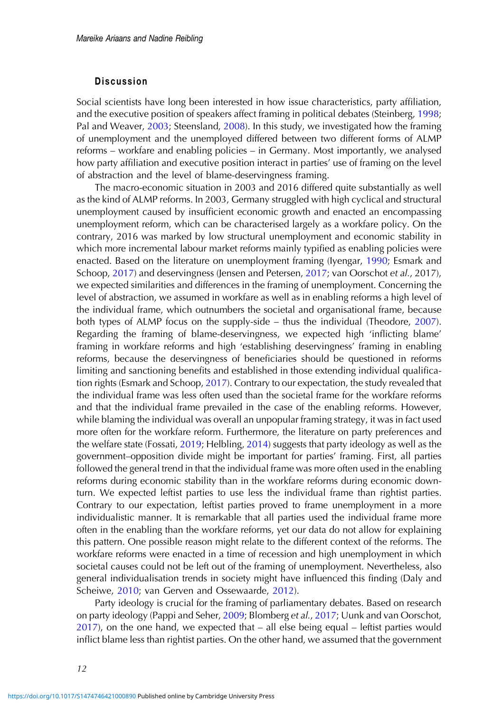## Discussion

Social scientists have long been interested in how issue characteristics, party affiliation, and the executive position of speakers affect framing in political debates (Steinberg, [1998](#page-16-0); Pal and Weaver, [2003;](#page-16-0) Steensland, [2008\)](#page-16-0). In this study, we investigated how the framing of unemployment and the unemployed differed between two different forms of ALMP reforms – workfare and enabling policies – in Germany. Most importantly, we analysed how party affiliation and executive position interact in parties' use of framing on the level of abstraction and the level of blame-deservingness framing.

The macro-economic situation in 2003 and 2016 differed quite substantially as well as the kind of ALMP reforms. In 2003, Germany struggled with high cyclical and structural unemployment caused by insufficient economic growth and enacted an encompassing unemployment reform, which can be characterised largely as a workfare policy. On the contrary, 2016 was marked by low structural unemployment and economic stability in which more incremental labour market reforms mainly typified as enabling policies were enacted. Based on the literature on unemployment framing (Iyengar, [1990;](#page-15-0) Esmark and Schoop, [2017\)](#page-15-0) and deservingness (Jensen and Petersen, [2017](#page-15-0); van Oorschot et al., 2017), we expected similarities and differences in the framing of unemployment. Concerning the level of abstraction, we assumed in workfare as well as in enabling reforms a high level of the individual frame, which outnumbers the societal and organisational frame, because both types of ALMP focus on the supply-side – thus the individual (Theodore, [2007\)](#page-16-0). Regarding the framing of blame-deservingness, we expected high 'inflicting blame' framing in workfare reforms and high 'establishing deservingness' framing in enabling reforms, because the deservingness of beneficiaries should be questioned in reforms limiting and sanctioning benefits and established in those extending individual qualification rights (Esmark and Schoop, [2017](#page-15-0)). Contrary to our expectation, the study revealed that the individual frame was less often used than the societal frame for the workfare reforms and that the individual frame prevailed in the case of the enabling reforms. However, while blaming the individual was overall an unpopular framing strategy, it was in fact used more often for the workfare reform. Furthermore, the literature on party preferences and the welfare state (Fossati, [2019](#page-15-0); Helbling, [2014\)](#page-15-0) suggests that party ideology as well as the government–opposition divide might be important for parties' framing. First, all parties followed the general trend in that the individual frame was more often used in the enabling reforms during economic stability than in the workfare reforms during economic downturn. We expected leftist parties to use less the individual frame than rightist parties. Contrary to our expectation, leftist parties proved to frame unemployment in a more individualistic manner. It is remarkable that all parties used the individual frame more often in the enabling than the workfare reforms, yet our data do not allow for explaining this pattern. One possible reason might relate to the different context of the reforms. The workfare reforms were enacted in a time of recession and high unemployment in which societal causes could not be left out of the framing of unemployment. Nevertheless, also general individualisation trends in society might have influenced this finding (Daly and Scheiwe, [2010](#page-14-0); van Gerven and Ossewaarde, [2012\)](#page-16-0).

Party ideology is crucial for the framing of parliamentary debates. Based on research on party ideology (Pappi and Seher, [2009](#page-16-0); Blomberg et al., [2017;](#page-14-0) Uunk and van Oorschot, [2017](#page-16-0)), on the one hand, we expected that – all else being equal – leftist parties would inflict blame less than rightist parties. On the other hand, we assumed that the government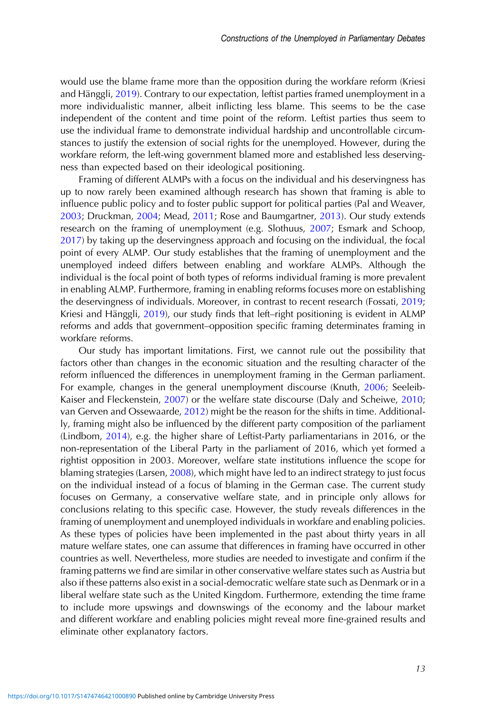would use the blame frame more than the opposition during the workfare reform (Kriesi and Hänggli, [2019\)](#page-15-0). Contrary to our expectation, leftist parties framed unemployment in a more individualistic manner, albeit inflicting less blame. This seems to be the case independent of the content and time point of the reform. Leftist parties thus seem to use the individual frame to demonstrate individual hardship and uncontrollable circumstances to justify the extension of social rights for the unemployed. However, during the workfare reform, the left-wing government blamed more and established less deservingness than expected based on their ideological positioning.

Framing of different ALMPs with a focus on the individual and his deservingness has up to now rarely been examined although research has shown that framing is able to influence public policy and to foster public support for political parties (Pal and Weaver, [2003](#page-16-0); Druckman, [2004](#page-15-0); Mead, [2011;](#page-16-0) Rose and Baumgartner, [2013](#page-16-0)). Our study extends research on the framing of unemployment (e.g. Slothuus, [2007;](#page-16-0) Esmark and Schoop, [2017](#page-15-0)) by taking up the deservingness approach and focusing on the individual, the focal point of every ALMP. Our study establishes that the framing of unemployment and the unemployed indeed differs between enabling and workfare ALMPs. Although the individual is the focal point of both types of reforms individual framing is more prevalent in enabling ALMP. Furthermore, framing in enabling reforms focuses more on establishing the deservingness of individuals. Moreover, in contrast to recent research (Fossati, [2019](#page-15-0); Kriesi and Hänggli, [2019](#page-15-0)), our study finds that left–right positioning is evident in ALMP reforms and adds that government–opposition specific framing determinates framing in workfare reforms.

Our study has important limitations. First, we cannot rule out the possibility that factors other than changes in the economic situation and the resulting character of the reform influenced the differences in unemployment framing in the German parliament. For example, changes in the general unemployment discourse (Knuth, [2006;](#page-15-0) Seeleib-Kaiser and Fleckenstein, [2007](#page-16-0)) or the welfare state discourse (Daly and Scheiwe, [2010](#page-14-0); van Gerven and Ossewaarde, [2012](#page-16-0)) might be the reason for the shifts in time. Additionally, framing might also be influenced by the different party composition of the parliament (Lindbom, [2014](#page-16-0)), e.g. the higher share of Leftist-Party parliamentarians in 2016, or the non-representation of the Liberal Party in the parliament of 2016, which yet formed a rightist opposition in 2003. Moreover, welfare state institutions influence the scope for blaming strategies (Larsen, [2008\)](#page-15-0), which might have led to an indirect strategy to just focus on the individual instead of a focus of blaming in the German case. The current study focuses on Germany, a conservative welfare state, and in principle only allows for conclusions relating to this specific case. However, the study reveals differences in the framing of unemployment and unemployed individuals in workfare and enabling policies. As these types of policies have been implemented in the past about thirty years in all mature welfare states, one can assume that differences in framing have occurred in other countries as well. Nevertheless, more studies are needed to investigate and confirm if the framing patterns we find are similar in other conservative welfare states such as Austria but also if these patterns also exist in a social-democratic welfare state such as Denmark or in a liberal welfare state such as the United Kingdom. Furthermore, extending the time frame to include more upswings and downswings of the economy and the labour market and different workfare and enabling policies might reveal more fine-grained results and eliminate other explanatory factors.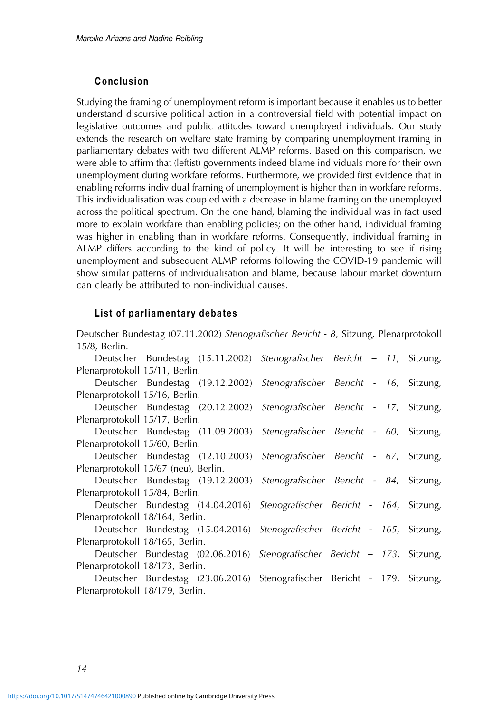# Conclusion

Studying the framing of unemployment reform is important because it enables us to better understand discursive political action in a controversial field with potential impact on legislative outcomes and public attitudes toward unemployed individuals. Our study extends the research on welfare state framing by comparing unemployment framing in parliamentary debates with two different ALMP reforms. Based on this comparison, we were able to affirm that (leftist) governments indeed blame individuals more for their own unemployment during workfare reforms. Furthermore, we provided first evidence that in enabling reforms individual framing of unemployment is higher than in workfare reforms. This individualisation was coupled with a decrease in blame framing on the unemployed across the political spectrum. On the one hand, blaming the individual was in fact used more to explain workfare than enabling policies; on the other hand, individual framing was higher in enabling than in workfare reforms. Consequently, individual framing in ALMP differs according to the kind of policy. It will be interesting to see if rising unemployment and subsequent ALMP reforms following the COVID-19 pandemic will show similar patterns of individualisation and blame, because labour market downturn can clearly be attributed to non-individual causes.

# List of parliamentary debates

Deutscher Bundestag (07.11.2002) Stenografischer Bericht - 8, Sitzung, Plenarprotokoll 15/8, Berlin.

|                                      |                                |  | Deutscher Bundestag (15.11.2002) Stenografischer Bericht - 11, Sitzung,  |  |  |  |  |  |  |
|--------------------------------------|--------------------------------|--|--------------------------------------------------------------------------|--|--|--|--|--|--|
| Plenarprotokoll 15/11, Berlin.       |                                |  |                                                                          |  |  |  |  |  |  |
|                                      |                                |  | Deutscher Bundestag (19.12.2002) Stenografischer Bericht - 16, Sitzung,  |  |  |  |  |  |  |
|                                      | Plenarprotokoll 15/16, Berlin. |  |                                                                          |  |  |  |  |  |  |
|                                      |                                |  | Deutscher Bundestag (20.12.2002) Stenografischer Bericht - 17, Sitzung,  |  |  |  |  |  |  |
| Plenarprotokoll 15/17, Berlin.       |                                |  |                                                                          |  |  |  |  |  |  |
|                                      |                                |  | Deutscher Bundestag (11.09.2003) Stenografischer Bericht - 60, Sitzung,  |  |  |  |  |  |  |
|                                      | Plenarprotokoll 15/60, Berlin. |  |                                                                          |  |  |  |  |  |  |
|                                      |                                |  | Deutscher Bundestag (12.10.2003) Stenografischer Bericht - 67, Sitzung,  |  |  |  |  |  |  |
| Plenarprotokoll 15/67 (neu), Berlin. |                                |  |                                                                          |  |  |  |  |  |  |
|                                      |                                |  | Deutscher Bundestag (19.12.2003) Stenografischer Bericht - 84, Sitzung,  |  |  |  |  |  |  |
| Plenarprotokoll 15/84, Berlin.       |                                |  |                                                                          |  |  |  |  |  |  |
|                                      |                                |  | Deutscher Bundestag (14.04.2016) Stenografischer Bericht - 164, Sitzung, |  |  |  |  |  |  |
| Plenarprotokoll 18/164, Berlin.      |                                |  |                                                                          |  |  |  |  |  |  |
|                                      |                                |  | Deutscher Bundestag (15.04.2016) Stenografischer Bericht - 165, Sitzung, |  |  |  |  |  |  |
| Plenarprotokoll 18/165, Berlin.      |                                |  |                                                                          |  |  |  |  |  |  |
|                                      |                                |  | Deutscher Bundestag (02.06.2016) Stenografischer Bericht - 173, Sitzung, |  |  |  |  |  |  |
| Plenarprotokoll 18/173, Berlin.      |                                |  |                                                                          |  |  |  |  |  |  |
|                                      |                                |  | Deutscher Bundestag (23.06.2016) Stenografischer Bericht - 179. Sitzung, |  |  |  |  |  |  |
| Plenarprotokoll 18/179, Berlin.      |                                |  |                                                                          |  |  |  |  |  |  |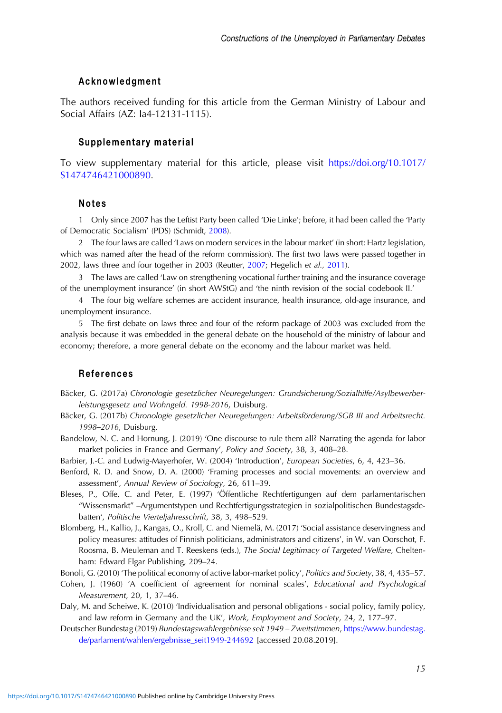## <span id="page-14-0"></span>Acknowledgment

The authors received funding for this article from the German Ministry of Labour and Social Affairs (AZ: Ia4-12131-1115).

#### Supplementary material

To view supplementary material for this article, please visit [https://doi.org/10.1017/](https://doi.org/10.1017/S1474746421000890) [S1474746421000890](https://doi.org/10.1017/S1474746421000890).

# Notes

1 Only since 2007 has the Leftist Party been called 'Die Linke'; before, it had been called the 'Party of Democratic Socialism' (PDS) (Schmidt, [2008\)](#page-16-0).

2 The four laws are called 'Laws on modern services in the labour market' (in short: Hartz legislation, which was named after the head of the reform commission). The first two laws were passed together in 2002, laws three and four together in 2003 (Reutter, [2007;](#page-16-0) Hegelich et al., [2011](#page-15-0)).

3 The laws are called 'Law on strengthening vocational further training and the insurance coverage of the unemployment insurance' (in short AWStG) and 'the ninth revision of the social codebook II.'

4 The four big welfare schemes are accident insurance, health insurance, old-age insurance, and unemployment insurance.

5 The first debate on laws three and four of the reform package of 2003 was excluded from the analysis because it was embedded in the general debate on the household of the ministry of labour and economy; therefore, a more general debate on the economy and the labour market was held.

## References

Bäcker, G. (2017a) Chronologie gesetzlicher Neuregelungen: Grundsicherung/Sozialhilfe/Asylbewerberleistungsgesetz und Wohngeld. 1998-2016, Duisburg.

- Bäcker, G. (2017b) Chronologie gesetzlicher Neuregelungen: Arbeitsförderung/SGB III and Arbeitsrecht. 1998–2016, Duisburg.
- Bandelow, N. C. and Hornung, J. (2019) 'One discourse to rule them all? Narrating the agenda for labor market policies in France and Germany', Policy and Society, 38, 3, 408–28.
- Barbier, J.-C. and Ludwig-Mayerhofer, W. (2004) 'Introduction', European Societies, 6, 4, 423–36.
- Benford, R. D. and Snow, D. A. (2000) 'Framing processes and social movements: an overview and assessment', Annual Review of Sociology, 26, 611–39.
- Bleses, P., Offe, C. and Peter, E. (1997) 'Öffentliche Rechtfertigungen auf dem parlamentarischen "Wissensmarkt" –Argumentstypen und Rechtfertigungsstrategien in sozialpolitischen Bundestagsdebatten', Politische Vierteljahresschrift, 38, 3, 498–529.
- Blomberg, H., Kallio, J., Kangas, O., Kroll, C. and Niemelä, M. (2017) 'Social assistance deservingness and policy measures: attitudes of Finnish politicians, administrators and citizens', in W. van Oorschot, F. Roosma, B. Meuleman and T. Reeskens (eds.), The Social Legitimacy of Targeted Welfare, Cheltenham: Edward Elgar Publishing, 209–24.
- Bonoli, G. (2010) 'The political economy of active labor-market policy', Politics and Society, 38, 4, 435–57.
- Cohen, J. (1960) 'A coefficient of agreement for nominal scales', Educational and Psychological Measurement, 20, 1, 37–46.
- Daly, M. and Scheiwe, K. (2010) 'Individualisation and personal obligations social policy, family policy, and law reform in Germany and the UK', Work, Employment and Society, 24, 2, 177–97.
- Deutscher Bundestag (2019) Bundestagswahlergebnisse seit 1949 Zweitstimmen, [https://www.bundestag.](https://www.bundestag.de/parlament/wahlen/ergebnisse_seit1949-244692) [de/parlament/wahlen/ergebnisse\\_seit1949-244692](https://www.bundestag.de/parlament/wahlen/ergebnisse_seit1949-244692) [accessed 20.08.2019].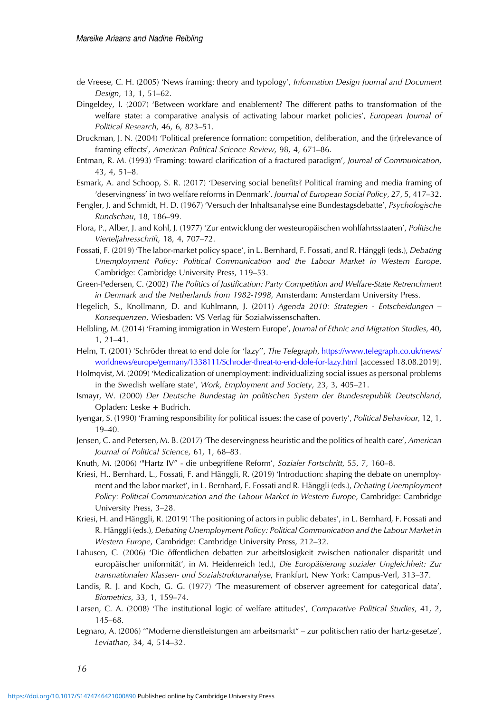- <span id="page-15-0"></span>de Vreese, C. H. (2005) 'News framing: theory and typology', Information Design Journal and Document Design, 13, 1, 51–62.
- Dingeldey, I. (2007) 'Between workfare and enablement? The different paths to transformation of the welfare state: a comparative analysis of activating labour market policies', European Journal of Political Research, 46, 6, 823–51.
- Druckman, J. N. (2004) 'Political preference formation: competition, deliberation, and the (ir)relevance of framing effects', American Political Science Review, 98, 4, 671–86.
- Entman, R. M. (1993) 'Framing: toward clarification of a fractured paradigm', Journal of Communication, 43, 4, 51–8.
- Esmark, A. and Schoop, S. R. (2017) 'Deserving social benefits? Political framing and media framing of 'deservingness' in two welfare reforms in Denmark', Journal of European Social Policy, 27, 5, 417–32.
- Fengler, J. and Schmidt, H. D. (1967) 'Versuch der Inhaltsanalyse eine Bundestagsdebatte', Psychologische Rundschau, 18, 186–99.
- Flora, P., Alber, J. and Kohl, J. (1977) 'Zur entwicklung der westeuropäischen wohlfahrtsstaaten', Politische Vierteljahresschrift, 18, 4, 707–72.
- Fossati, F. (2019) 'The labor-market policy space', in L. Bernhard, F. Fossati, and R. Hänggli (eds.), Debating Unemployment Policy: Political Communication and the Labour Market in Western Europe, Cambridge: Cambridge University Press, 119–53.
- Green-Pedersen, C. (2002) The Politics of Justification: Party Competition and Welfare-State Retrenchment in Denmark and the Netherlands from 1982-1998, Amsterdam: Amsterdam University Press.
- Hegelich, S., Knollmann, D. and Kuhlmann, J. (2011) Agenda 2010: Strategien Entscheidungen Konsequenzen, Wiesbaden: VS Verlag für Sozialwissenschaften.
- Helbling, M. (2014) 'Framing immigration in Western Europe', Journal of Ethnic and Migration Studies, 40, 1, 21–41.
- Helm, T. (2001) 'Schröder threat to end dole for 'lazy'', The Telegraph, [https://www.telegraph.co.uk/news/](https://www.telegraph.co.uk/news/worldnews/europe/germany/1338111/Schroder-threat-to-end-dole-for-lazy.html) [worldnews/europe/germany/1338111/Schroder-threat-to-end-dole-for-lazy.html](https://www.telegraph.co.uk/news/worldnews/europe/germany/1338111/Schroder-threat-to-end-dole-for-lazy.html) [accessed 18.08.2019].
- Holmqvist, M. (2009) 'Medicalization of unemployment: individualizing social issues as personal problems in the Swedish welfare state', Work, Employment and Society, 23, 3, 405–21.
- Ismayr, W. (2000) Der Deutsche Bundestag im politischen System der Bundesrepublik Deutschland, Opladen: Leske + Budrich.
- Iyengar, S. (1990) 'Framing responsibility for political issues: the case of poverty', Political Behaviour, 12, 1, 19–40.
- Jensen, C. and Petersen, M. B. (2017) 'The deservingness heuristic and the politics of health care', American Journal of Political Science, 61, 1, 68–83.
- Knuth, M. (2006) '"Hartz IV" die unbegriffene Reform', Sozialer Fortschritt, 55, 7, 160–8.
- Kriesi, H., Bernhard, L., Fossati, F. and Hänggli, R. (2019) 'Introduction: shaping the debate on unemployment and the labor market', in L. Bernhard, F. Fossati and R. Hänggli (eds.), Debating Unemployment Policy: Political Communication and the Labour Market in Western Europe, Cambridge: Cambridge University Press, 3–28.
- Kriesi, H. and Hänggli, R. (2019) 'The positioning of actors in public debates', in L. Bernhard, F. Fossati and R. Hänggli (eds.), Debating Unemployment Policy: Political Communication and the Labour Market in Western Europe, Cambridge: Cambridge University Press, 212–32.
- Lahusen, C. (2006) 'Die öffentlichen debatten zur arbeitslosigkeit zwischen nationaler disparität und europäischer uniformität', in M. Heidenreich (ed.), Die Europäisierung sozialer Ungleichheit: Zur transnationalen Klassen- und Sozialstrukturanalyse, Frankfurt, New York: Campus-Verl, 313–37.
- Landis, R. J. and Koch, G. G. (1977) 'The measurement of observer agreement for categorical data', Biometrics, 33, 1, 159–74.
- Larsen, C. A. (2008) 'The institutional logic of welfare attitudes', Comparative Political Studies, 41, 2, 145–68.
- Legnaro, A. (2006) '"Moderne dienstleistungen am arbeitsmarkt" zur politischen ratio der hartz-gesetze', Leviathan, 34, 4, 514–32.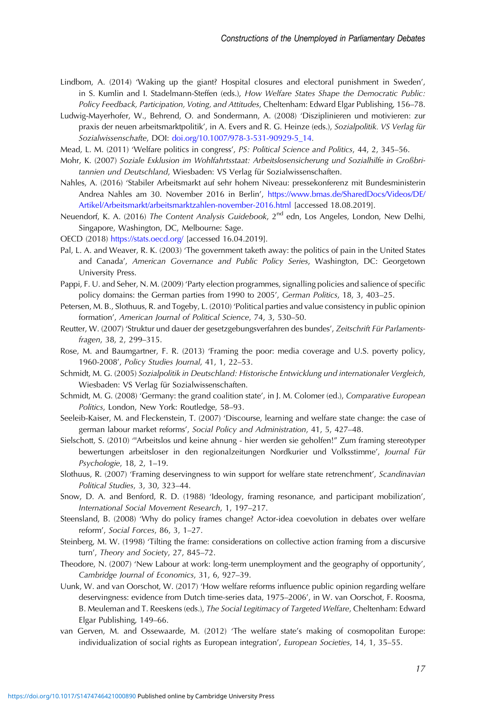- <span id="page-16-0"></span>Lindbom, A. (2014) 'Waking up the giant? Hospital closures and electoral punishment in Sweden', in S. Kumlin and I. Stadelmann-Steffen (eds.), How Welfare States Shape the Democratic Public: Policy Feedback, Participation, Voting, and Attitudes, Cheltenham: Edward Elgar Publishing, 156–78.
- Ludwig-Mayerhofer, W., Behrend, O. and Sondermann, A. (2008) 'Disziplinieren und motivieren: zur praxis der neuen arbeitsmarktpolitik', in A. Evers and R. G. Heinze (eds.), Sozialpolitik. VS Verlag für Sozialwissenschafte, DOI: [doi.org/10.1007/978-3-531-90929-5\\_14](https://doi.org/doi.org/10.1007/978-3-531-90929-5_14).
- Mead, L. M. (2011) 'Welfare politics in congress', PS: Political Science and Politics, 44, 2, 345–56.
- Mohr, K. (2007) Soziale Exklusion im Wohlfahrtsstaat: Arbeitslosensicherung und Sozialhilfe in Großbritannien und Deutschland, Wiesbaden: VS Verlag für Sozialwissenschaften.
- Nahles, A. (2016) 'Stabiler Arbeitsmarkt auf sehr hohem Niveau: pressekonferenz mit Bundesministerin Andrea Nahles am 30. November 2016 in Berlin', [https://www.bmas.de/SharedDocs/Videos/DE/](https://www.bmas.de/SharedDocs/Videos/DE/Artikel/Arbeitsmarkt/arbeitsmarktzahlen-november-2016.html) [Artikel/Arbeitsmarkt/arbeitsmarktzahlen-november-2016.html](https://www.bmas.de/SharedDocs/Videos/DE/Artikel/Arbeitsmarkt/arbeitsmarktzahlen-november-2016.html) [accessed 18.08.2019].
- Neuendorf, K. A. (2016) The Content Analysis Guidebook, 2<sup>nd</sup> edn, Los Angeles, London, New Delhi, Singapore, Washington, DC, Melbourne: Sage.
- OECD (2018) <https://stats.oecd.org/> [accessed 16.04.2019].
- Pal, L. A. and Weaver, R. K. (2003) 'The government taketh away: the politics of pain in the United States and Canada', American Governance and Public Policy Series, Washington, DC: Georgetown University Press.
- Pappi, F. U. and Seher, N. M. (2009) 'Party election programmes, signalling policies and salience of specific policy domains: the German parties from 1990 to 2005', German Politics, 18, 3, 403–25.
- Petersen, M. B., Slothuus, R. and Togeby, L. (2010) 'Political parties and value consistency in public opinion formation', American Journal of Political Science, 74, 3, 530–50.
- Reutter, W. (2007) 'Struktur und dauer der gesetzgebungsverfahren des bundes', Zeitschrift Für Parlamentsfragen, 38, 2, 299–315.
- Rose, M. and Baumgartner, F. R. (2013) 'Framing the poor: media coverage and U.S. poverty policy, 1960-2008', Policy Studies Journal, 41, 1, 22–53.
- Schmidt, M. G. (2005) Sozialpolitik in Deutschland: Historische Entwicklung und internationaler Vergleich, Wiesbaden: VS Verlag für Sozialwissenschaften.
- Schmidt, M. G. (2008) 'Germany: the grand coalition state', in J. M. Colomer (ed.), Comparative European Politics, London, New York: Routledge, 58–93.
- Seeleib-Kaiser, M. and Fleckenstein, T. (2007) 'Discourse, learning and welfare state change: the case of german labour market reforms', Social Policy and Administration, 41, 5, 427–48.
- Sielschott, S. (2010) '"Arbeitslos und keine ahnung hier werden sie geholfen!" Zum framing stereotyper bewertungen arbeitsloser in den regionalzeitungen Nordkurier und Volksstimme', Journal Für Psychologie, 18, 2, 1–19.
- Slothuus, R. (2007) 'Framing deservingness to win support for welfare state retrenchment', Scandinavian Political Studies, 3, 30, 323–44.
- Snow, D. A. and Benford, R. D. (1988) 'Ideology, framing resonance, and participant mobilization', International Social Movement Research, 1, 197–217.
- Steensland, B. (2008) 'Why do policy frames change? Actor-idea coevolution in debates over welfare reform', Social Forces, 86, 3, 1–27.
- Steinberg, M. W. (1998) 'Tilting the frame: considerations on collective action framing from a discursive turn', Theory and Society, 27, 845–72.
- Theodore, N. (2007) 'New Labour at work: long-term unemployment and the geography of opportunity', Cambridge Journal of Economics, 31, 6, 927–39.
- Uunk, W. and van Oorschot, W. (2017) 'How welfare reforms influence public opinion regarding welfare deservingness: evidence from Dutch time-series data, 1975–2006', in W. van Oorschot, F. Roosma, B. Meuleman and T. Reeskens (eds.), The Social Legitimacy of Targeted Welfare, Cheltenham: Edward Elgar Publishing, 149–66.
- van Gerven, M. and Ossewaarde, M. (2012) 'The welfare state's making of cosmopolitan Europe: individualization of social rights as European integration', *European Societies*, 14, 1, 35–55.